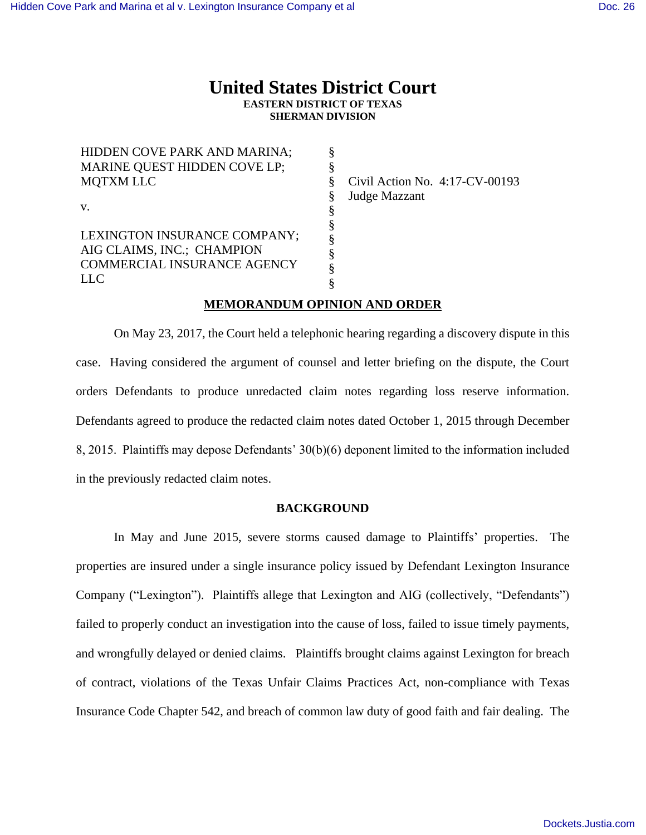# **United States District Court EASTERN DISTRICT OF TEXAS SHERMAN DIVISION**

HIDDEN COVE PARK AND MARINA; MARINE QUEST HIDDEN COVE LP; MQTXM LLC v. LEXINGTON INSURANCE COMPANY; AIG CLAIMS, INC.; CHAMPION COMMERCIAL INSURANCE AGENCY LLC § § § § § § § § § § Civil Action No. 4:17-CV-00193 Judge Mazzant

## **MEMORANDUM OPINION AND ORDER**

On May 23, 2017, the Court held a telephonic hearing regarding a discovery dispute in this case. Having considered the argument of counsel and letter briefing on the dispute, the Court orders Defendants to produce unredacted claim notes regarding loss reserve information. Defendants agreed to produce the redacted claim notes dated October 1, 2015 through December 8, 2015. Plaintiffs may depose Defendants' 30(b)(6) deponent limited to the information included in the previously redacted claim notes.

#### **BACKGROUND**

In May and June 2015, severe storms caused damage to Plaintiffs' properties. The properties are insured under a single insurance policy issued by Defendant Lexington Insurance Company ("Lexington"). Plaintiffs allege that Lexington and AIG (collectively, "Defendants") failed to properly conduct an investigation into the cause of loss, failed to issue timely payments, and wrongfully delayed or denied claims. Plaintiffs brought claims against Lexington for breach of contract, violations of the Texas Unfair Claims Practices Act, non-compliance with Texas Insurance Code Chapter 542, and breach of common law duty of good faith and fair dealing. The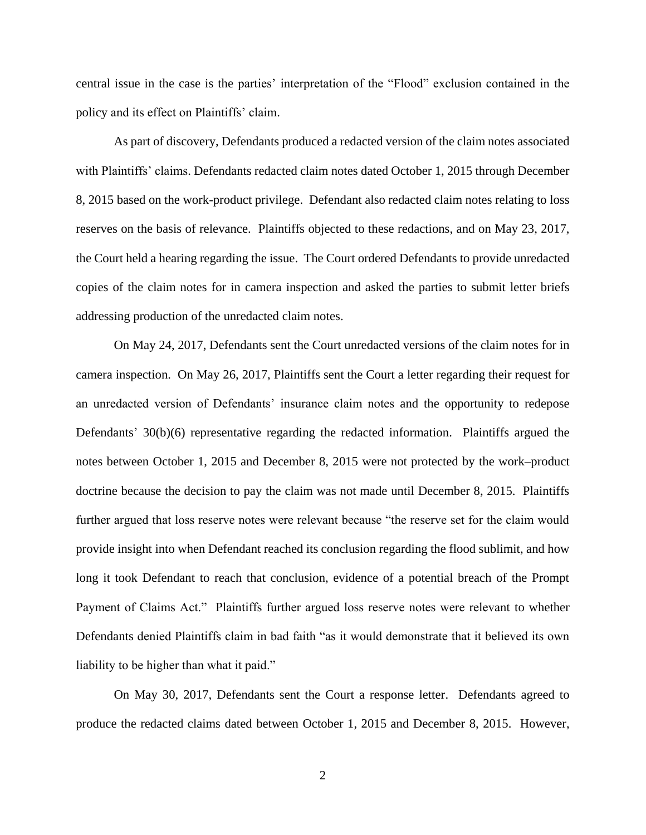central issue in the case is the parties' interpretation of the "Flood" exclusion contained in the policy and its effect on Plaintiffs' claim.

As part of discovery, Defendants produced a redacted version of the claim notes associated with Plaintiffs' claims. Defendants redacted claim notes dated October 1, 2015 through December 8, 2015 based on the work-product privilege. Defendant also redacted claim notes relating to loss reserves on the basis of relevance. Plaintiffs objected to these redactions, and on May 23, 2017, the Court held a hearing regarding the issue. The Court ordered Defendants to provide unredacted copies of the claim notes for in camera inspection and asked the parties to submit letter briefs addressing production of the unredacted claim notes.

On May 24, 2017, Defendants sent the Court unredacted versions of the claim notes for in camera inspection. On May 26, 2017, Plaintiffs sent the Court a letter regarding their request for an unredacted version of Defendants' insurance claim notes and the opportunity to redepose Defendants' 30(b)(6) representative regarding the redacted information. Plaintiffs argued the notes between October 1, 2015 and December 8, 2015 were not protected by the work–product doctrine because the decision to pay the claim was not made until December 8, 2015. Plaintiffs further argued that loss reserve notes were relevant because "the reserve set for the claim would provide insight into when Defendant reached its conclusion regarding the flood sublimit, and how long it took Defendant to reach that conclusion, evidence of a potential breach of the Prompt Payment of Claims Act." Plaintiffs further argued loss reserve notes were relevant to whether Defendants denied Plaintiffs claim in bad faith "as it would demonstrate that it believed its own liability to be higher than what it paid."

On May 30, 2017, Defendants sent the Court a response letter. Defendants agreed to produce the redacted claims dated between October 1, 2015 and December 8, 2015. However,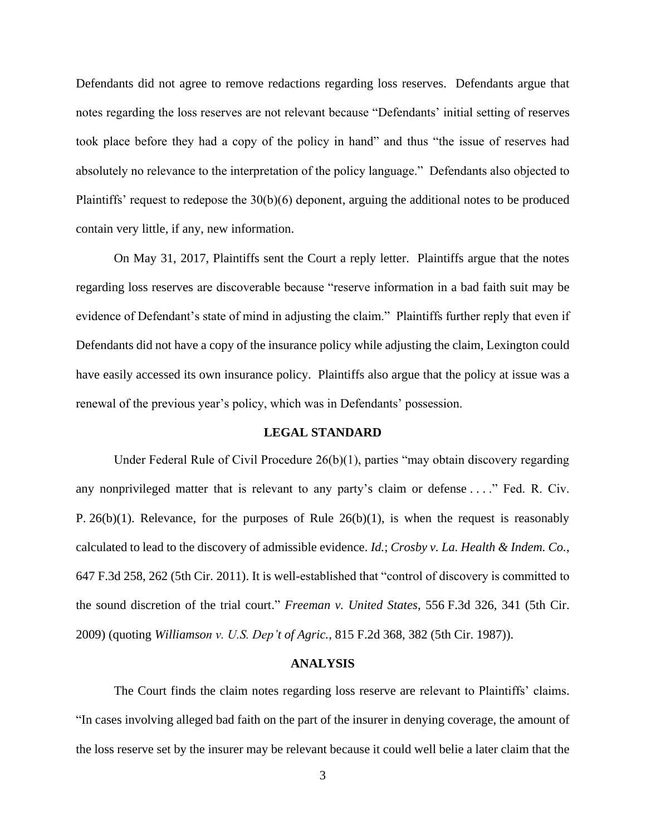Defendants did not agree to remove redactions regarding loss reserves. Defendants argue that notes regarding the loss reserves are not relevant because "Defendants' initial setting of reserves took place before they had a copy of the policy in hand" and thus "the issue of reserves had absolutely no relevance to the interpretation of the policy language." Defendants also objected to Plaintiffs' request to redepose the 30(b)(6) deponent, arguing the additional notes to be produced contain very little, if any, new information.

On May 31, 2017, Plaintiffs sent the Court a reply letter. Plaintiffs argue that the notes regarding loss reserves are discoverable because "reserve information in a bad faith suit may be evidence of Defendant's state of mind in adjusting the claim." Plaintiffs further reply that even if Defendants did not have a copy of the insurance policy while adjusting the claim, Lexington could have easily accessed its own insurance policy. Plaintiffs also argue that the policy at issue was a renewal of the previous year's policy, which was in Defendants' possession.

#### **LEGAL STANDARD**

Under Federal Rule of Civil Procedure 26(b)(1), parties "may obtain discovery regarding any nonprivileged matter that is relevant to any party's claim or defense . . . ." Fed. R. Civ. P.  $26(b)(1)$ . Relevance, for the purposes of Rule  $26(b)(1)$ , is when the request is reasonably calculated to lead to the discovery of admissible evidence. *Id.*; *Crosby v. La. Health & Indem. Co.*, 647 F.3d 258, 262 (5th Cir. 2011). It is well-established that "control of discovery is committed to the sound discretion of the trial court." *Freeman v. United States*, 556 F.3d 326, 341 (5th Cir. 2009) (quoting *Williamson v. U.S. Dep't of Agric.*, 815 F.2d 368, 382 (5th Cir. 1987)).

### **ANALYSIS**

The Court finds the claim notes regarding loss reserve are relevant to Plaintiffs' claims. "In cases involving alleged bad faith on the part of the insurer in denying coverage, the amount of the loss reserve set by the insurer may be relevant because it could well belie a later claim that the